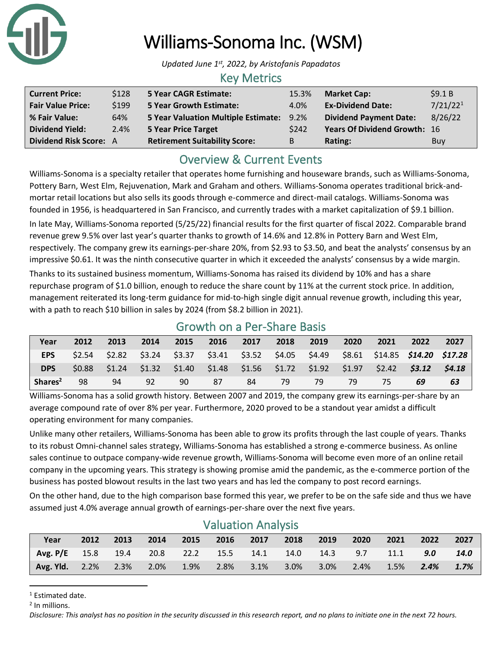

# Williams-Sonoma Inc. (WSM)

*Updated June 1st, 2022, by Aristofanis Papadatos*

#### Key Metrics

| <b>Current Price:</b>    | \$128 | 5 Year CAGR Estimate:                    | 15.3% | <b>Market Cap:</b>                  | \$9.1B               |
|--------------------------|-------|------------------------------------------|-------|-------------------------------------|----------------------|
| <b>Fair Value Price:</b> | \$199 | <b>5 Year Growth Estimate:</b>           | 4.0%  | <b>Ex-Dividend Date:</b>            | 7/21/22 <sup>1</sup> |
| % Fair Value:            | 64%   | 5 Year Valuation Multiple Estimate: 9.2% |       | <b>Dividend Payment Date:</b>       | 8/26/22              |
| <b>Dividend Yield:</b>   | 2.4%  | <b>5 Year Price Target</b>               | \$242 | <b>Years Of Dividend Growth: 16</b> |                      |
| Dividend Risk Score: A   |       | <b>Retirement Suitability Score:</b>     | B     | Rating:                             | Buy                  |

## Overview & Current Events

Williams-Sonoma is a specialty retailer that operates home furnishing and houseware brands, such as Williams-Sonoma, Pottery Barn, West Elm, Rejuvenation, Mark and Graham and others. Williams-Sonoma operates traditional brick-andmortar retail locations but also sells its goods through e-commerce and direct-mail catalogs. Williams-Sonoma was founded in 1956, is headquartered in San Francisco, and currently trades with a market capitalization of \$9.1 billion.

In late May, Williams-Sonoma reported (5/25/22) financial results for the first quarter of fiscal 2022. Comparable brand revenue grew 9.5% over last year's quarter thanks to growth of 14.6% and 12.8% in Pottery Barn and West Elm, respectively. The company grew its earnings-per-share 20%, from \$2.93 to \$3.50, and beat the analysts' consensus by an impressive \$0.61. It was the ninth consecutive quarter in which it exceeded the analysts' consensus by a wide margin.

Thanks to its sustained business momentum, Williams-Sonoma has raised its dividend by 10% and has a share repurchase program of \$1.0 billion, enough to reduce the share count by 11% at the current stock price. In addition, management reiterated its long-term guidance for mid-to-high single digit annual revenue growth, including this year, with a path to reach \$10 billion in sales by 2024 (from \$8.2 billion in 2021).

| Year                | 2012   | 2013 | 2014 | 2015 | 2016 | 2017 | 2018 | 2019 | 2020 | 2021                                                                                   | 2022 | 2027   |
|---------------------|--------|------|------|------|------|------|------|------|------|----------------------------------------------------------------------------------------|------|--------|
| <b>EPS</b>          | \$2.54 |      |      |      |      |      |      |      |      | \$2.82 \$3.24 \$3.37 \$3.41 \$3.52 \$4.05 \$4.49 \$8.61 \$14.85 <b>\$14.20 \$17.28</b> |      |        |
| <b>DPS</b>          | \$0.88 |      |      |      |      |      |      |      |      | $$1.24$ $$1.32$ $$1.40$ $$1.48$ $$1.56$ $$1.72$ $$1.92$ $$1.97$ $$2.42$ $$3.12$        |      | \$4.18 |
| Shares <sup>2</sup> | 98     | 94   | 92   | 90   | 87   | 84   | 79   | 79   | 79   | 75                                                                                     | 69   | 63     |

### Growth on a Per-Share Basis

Williams-Sonoma has a solid growth history. Between 2007 and 2019, the company grew its earnings-per-share by an average compound rate of over 8% per year. Furthermore, 2020 proved to be a standout year amidst a difficult operating environment for many companies.

Unlike many other retailers, Williams-Sonoma has been able to grow its profits through the last couple of years. Thanks to its robust Omni-channel sales strategy, Williams-Sonoma has established a strong e-commerce business. As online sales continue to outpace company-wide revenue growth, Williams-Sonoma will become even more of an online retail company in the upcoming years. This strategy is showing promise amid the pandemic, as the e-commerce portion of the business has posted blowout results in the last two years and has led the company to post record earnings.

On the other hand, due to the high comparison base formed this year, we prefer to be on the safe side and thus we have assumed just 4.0% average annual growth of earnings-per-share over the next five years.

| <b>VAIUALIUIT AHAIVSIS</b> |      |         |           |      |      |      |          |               |         |      |      |             |
|----------------------------|------|---------|-----------|------|------|------|----------|---------------|---------|------|------|-------------|
| Year                       | 2012 | 2013    | 2014      | 2015 | 2016 | 2017 | 2018     | 2019          | 2020    | 2021 | 2022 | 2027        |
| Avg. $P/E$ 15.8 19.4       |      |         | 20.8 22.2 |      | 15.5 | 14.1 |          | 14.0 14.3 9.7 |         | 11.1 | 9.0  | <b>14.0</b> |
| <b>Avg. Yld.</b> 2.2%      |      | $2.3\%$ | 2.0%      | 1.9% | 2.8% | 3.1% | $-3.0\%$ | 3.0%          | $2.4\%$ | 1.5% | 2.4% | 1.7%        |

#### Valuation Analysis

<sup>&</sup>lt;sup>1</sup> Estimated date.

<sup>2</sup> In millions.

*Disclosure: This analyst has no position in the security discussed in this research report, and no plans to initiate one in the next 72 hours.*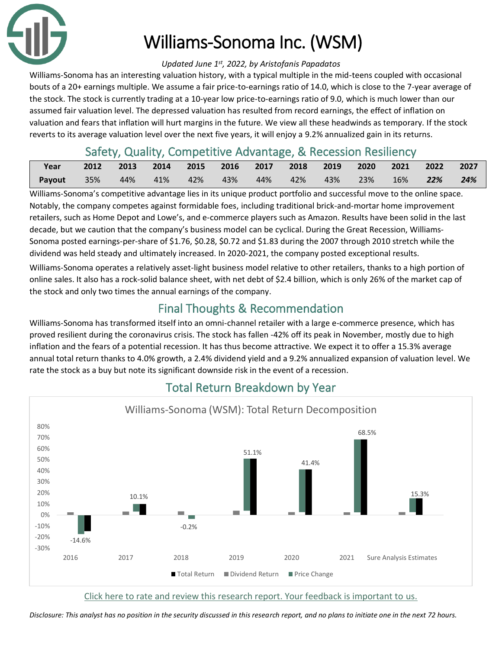

# Williams-Sonoma Inc. (WSM)

#### *Updated June 1st, 2022, by Aristofanis Papadatos*

Williams-Sonoma has an interesting valuation history, with a typical multiple in the mid-teens coupled with occasional bouts of a 20+ earnings multiple. We assume a fair price-to-earnings ratio of 14.0, which is close to the 7-year average of the stock. The stock is currently trading at a 10-year low price-to-earnings ratio of 9.0, which is much lower than our assumed fair valuation level. The depressed valuation has resulted from record earnings, the effect of inflation on valuation and fears that inflation will hurt margins in the future. We view all these headwinds as temporary. If the stock reverts to its average valuation level over the next five years, it will enjoy a 9.2% annualized gain in its returns.

## Safety, Quality, Competitive Advantage, & Recession Resiliency

| Year   |                   | 2012 2013 2014 2015 2016 2017 2018 2019 2020 |             |        |                 |  | 2021 2022  | 2027 |
|--------|-------------------|----------------------------------------------|-------------|--------|-----------------|--|------------|------|
| Payout | $\overline{35\%}$ |                                              | 44% 41% 42% | $43\%$ | 44% 42% 43% 23% |  | $16\%$ 22% | 24%  |

Williams-Sonoma's competitive advantage lies in its unique product portfolio and successful move to the online space. Notably, the company competes against formidable foes, including traditional brick-and-mortar home improvement retailers, such as Home Depot and Lowe's, and e-commerce players such as Amazon. Results have been solid in the last decade, but we caution that the company's business model can be cyclical. During the Great Recession, Williams-Sonoma posted earnings-per-share of \$1.76, \$0.28, \$0.72 and \$1.83 during the 2007 through 2010 stretch while the dividend was held steady and ultimately increased. In 2020-2021, the company posted exceptional results.

Williams-Sonoma operates a relatively asset-light business model relative to other retailers, thanks to a high portion of online sales. It also has a rock-solid balance sheet, with net debt of \$2.4 billion, which is only 26% of the market cap of the stock and only two times the annual earnings of the company.

# Final Thoughts & Recommendation

Williams-Sonoma has transformed itself into an omni-channel retailer with a large e-commerce presence, which has proved resilient during the coronavirus crisis. The stock has fallen -42% off its peak in November, mostly due to high inflation and the fears of a potential recession. It has thus become attractive. We expect it to offer a 15.3% average annual total return thanks to 4.0% growth, a 2.4% dividend yield and a 9.2% annualized expansion of valuation level. We rate the stock as a buy but note its significant downside risk in the event of a recession.



## Total Return Breakdown by Year

[Click here to rate and review this research report. Your feedback is important to us.](https://suredividend.typeform.com/to/S0SIkB)

*Disclosure: This analyst has no position in the security discussed in this research report, and no plans to initiate one in the next 72 hours.*